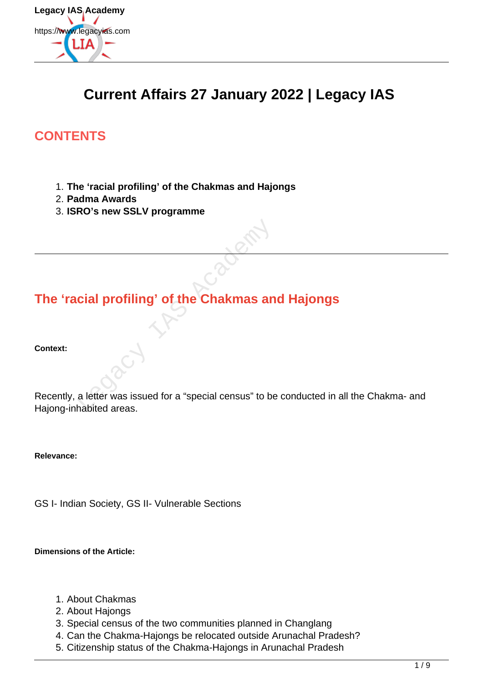

# **Current Affairs 27 January 2022 | Legacy IAS**

# **CONTENTS**

- 1. **The 'racial profiling' of the Chakmas and Hajongs**
- 2. **Padma Awards**
- 3. **ISRO's new SSLV programme**

# **The 'racial profiling' of the Chakmas and Hajongs**

**Context:**

Recently, a letter was issued for a "special census" to be conducted in all the Chakma- and Hajong-inhabited areas. Legacy IAS Academy

**Relevance:**

GS I- Indian Society, GS II- Vulnerable Sections

**Dimensions of the Article:**

- 1. About Chakmas
- 2. About Hajongs
- 3. Special census of the two communities planned in Changlang
- 4. Can the Chakma-Hajongs be relocated outside Arunachal Pradesh?
- 5. Citizenship status of the Chakma-Hajongs in Arunachal Pradesh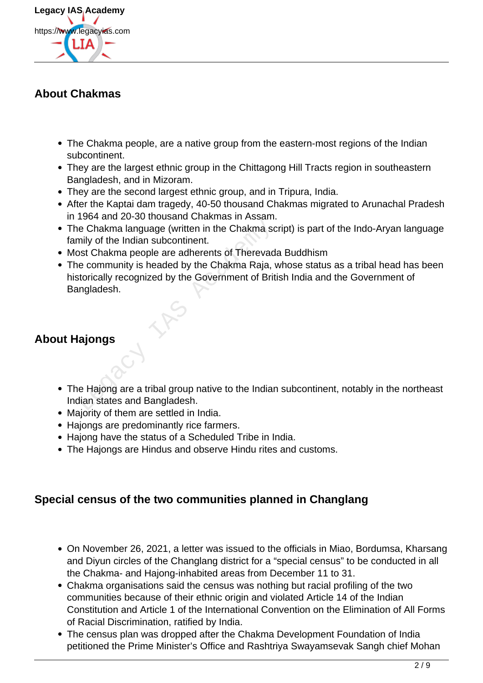

## **About Chakmas**

- The Chakma people, are a native group from the eastern-most regions of the Indian subcontinent.
- They are the largest ethnic group in the Chittagong Hill Tracts region in southeastern Bangladesh, and in Mizoram.
- They are the second largest ethnic group, and in Tripura, India.
- After the Kaptai dam tragedy, 40-50 thousand Chakmas migrated to Arunachal Pradesh in 1964 and 20-30 thousand Chakmas in Assam.
- The Chakma language (written in the Chakma script) is part of the Indo-Aryan language family of the Indian subcontinent.
- Most Chakma people are adherents of Therevada Buddhism
- The community is headed by the Chakma Raja, whose status as a tribal head has been historically recognized by the Government of British India and the Government of Bangladesh. The Chakma language (written in the Chakma scomily of the Indian subcontinent.<br>
Sost Chakma people are adherents of Therevade community is headed by the Chakma Raja, vectorically recognized by the Government of Briting<br>
Ia

# **About Hajongs**

- The Hajong are a tribal group native to the Indian subcontinent, notably in the northeast Indian states and Bangladesh.
- Majority of them are settled in India.
- Hajongs are predominantly rice farmers.
- Hajong have the status of a Scheduled Tribe in India.
- The Hajongs are Hindus and observe Hindu rites and customs.

### **Special census of the two communities planned in Changlang**

- On November 26, 2021, a letter was issued to the officials in Miao, Bordumsa, Kharsang and Diyun circles of the Changlang district for a "special census" to be conducted in all the Chakma- and Hajong-inhabited areas from December 11 to 31.
- Chakma organisations said the census was nothing but racial profiling of the two communities because of their ethnic origin and violated Article 14 of the Indian Constitution and Article 1 of the International Convention on the Elimination of All Forms of Racial Discrimination, ratified by India.
- The census plan was dropped after the Chakma Development Foundation of India petitioned the Prime Minister's Office and Rashtriya Swayamsevak Sangh chief Mohan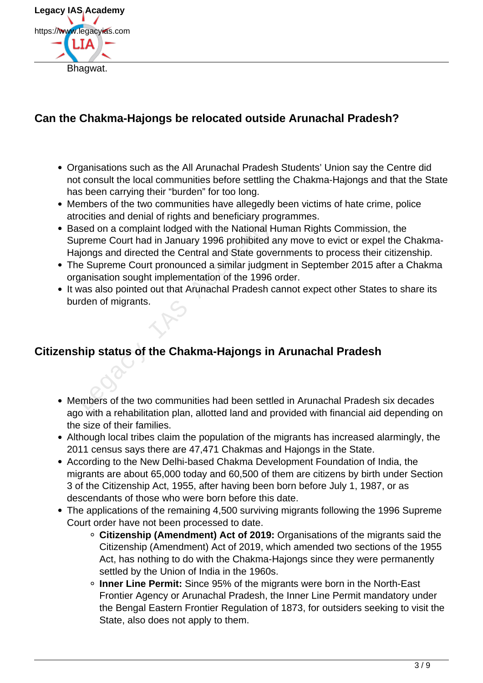

## **Can the Chakma-Hajongs be relocated outside Arunachal Pradesh?**

- Organisations such as the All Arunachal Pradesh Students' Union say the Centre did not consult the local communities before settling the Chakma-Hajongs and that the State has been carrying their "burden" for too long.
- Members of the two communities have allegedly been victims of hate crime, police atrocities and denial of rights and beneficiary programmes.
- Based on a complaint lodged with the National Human Rights Commission, the Supreme Court had in January 1996 prohibited any move to evict or expel the Chakma-Hajongs and directed the Central and State governments to process their citizenship. Superior a complaint lodged with the National Hippreme Court had in January 1996 prohibited a<br>
spongs and directed the Central and State gove<br>
e Supreme Court pronounced a similar judgment<br>
ganisation sought implementation
- The Supreme Court pronounced a similar judgment in September 2015 after a Chakma organisation sought implementation of the 1996 order.
- It was also pointed out that Arunachal Pradesh cannot expect other States to share its burden of migrants.

## **Citizenship status of the Chakma-Hajongs in Arunachal Pradesh**

- Members of the two communities had been settled in Arunachal Pradesh six decades ago with a rehabilitation plan, allotted land and provided with financial aid depending on the size of their families.
- Although local tribes claim the population of the migrants has increased alarmingly, the 2011 census says there are 47,471 Chakmas and Hajongs in the State.
- According to the New Delhi-based Chakma Development Foundation of India, the migrants are about 65,000 today and 60,500 of them are citizens by birth under Section 3 of the Citizenship Act, 1955, after having been born before July 1, 1987, or as descendants of those who were born before this date.
- The applications of the remaining 4,500 surviving migrants following the 1996 Supreme Court order have not been processed to date.
	- **Citizenship (Amendment) Act of 2019:** Organisations of the migrants said the Citizenship (Amendment) Act of 2019, which amended two sections of the 1955 Act, has nothing to do with the Chakma-Hajongs since they were permanently settled by the Union of India in the 1960s.
	- **Inner Line Permit:** Since 95% of the migrants were born in the North-East Frontier Agency or Arunachal Pradesh, the Inner Line Permit mandatory under the Bengal Eastern Frontier Regulation of 1873, for outsiders seeking to visit the State, also does not apply to them.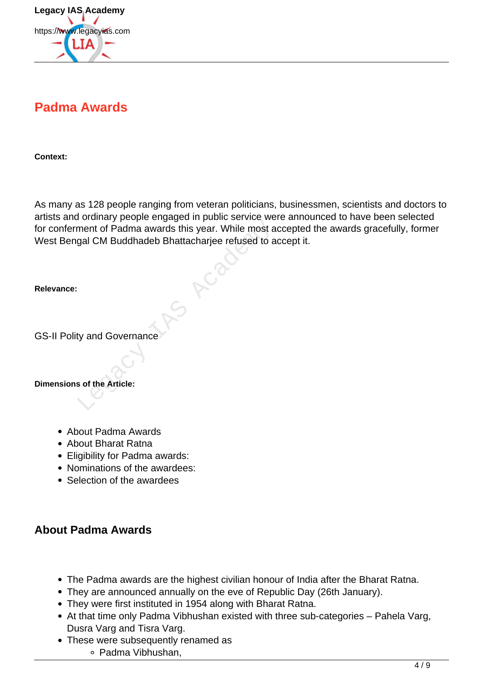

# **Padma Awards**

**Context:**

As many as 128 people ranging from veteran politicians, businessmen, scientists and doctors to artists and ordinary people engaged in public service were announced to have been selected for conferment of Padma awards this year. While most accepted the awards gracefully, former West Bengal CM Buddhadeb Bhattacharjee refused to accept it. ment of Padma awards this year. While most a<br>gal CM Buddhadeb Bhattacharjee refused to a<br>gal CM Buddhadeb Bhattacharjee refused to a<br>gal CM Buddhadeb Bhattacharjee refused to a<br>gal CM Buddhadeb Bhattacharjee refused to a<br>g

**Relevance:**

GS-II Polity and Governance

**Dimensions of the Article:**

- About Padma Awards
- About Bharat Ratna
- Eligibility for Padma awards:
- Nominations of the awardees:
- Selection of the awardees

#### **About Padma Awards**

- The Padma awards are the highest civilian honour of India after the Bharat Ratna.
- They are announced annually on the eve of Republic Day (26th January).
- They were first instituted in 1954 along with Bharat Ratna.
- At that time only Padma Vibhushan existed with three sub-categories Pahela Varg, Dusra Varg and Tisra Varg.
- These were subsequently renamed as
	- Padma Vibhushan,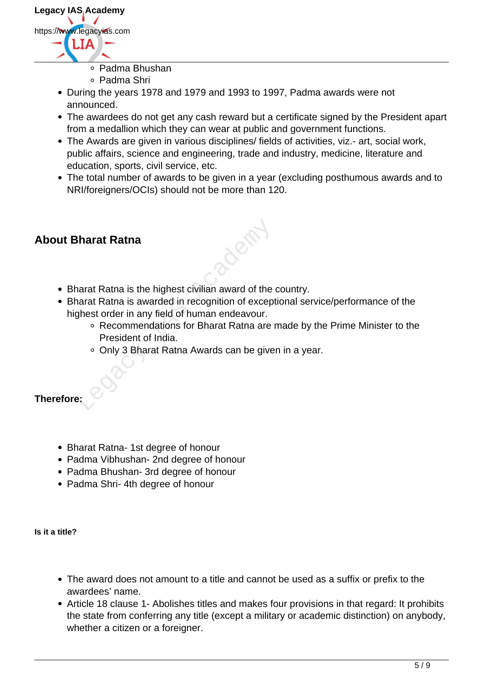

- Padma Bhushan
- Padma Shri
- During the years 1978 and 1979 and 1993 to 1997, Padma awards were not announced.
- The awardees do not get any cash reward but a certificate signed by the President apart from a medallion which they can wear at public and government functions.
- The Awards are given in various disciplines/ fields of activities, viz.- art, social work, public affairs, science and engineering, trade and industry, medicine, literature and education, sports, civil service, etc.
- The total number of awards to be given in a year (excluding posthumous awards and to NRI/foreigners/OCIs) should not be more than 120.

### **About Bharat Ratna**

- Bharat Ratna is the highest civilian award of the country.
- Bharat Ratna is awarded in recognition of exceptional service/performance of the highest order in any field of human endeavour. Subseted Warren Control and Subseted States and States and States and States and States and States are a President of India.<br>
The Commendations for Bharat Ratna are a President of India.<br>
The Commendations for Bharat Ratna
	- Recommendations for Bharat Ratna are made by the Prime Minister to the President of India.
	- Only 3 Bharat Ratna Awards can be given in a year.

#### **Therefore:**

- Bharat Ratna- 1st degree of honour
- Padma Vibhushan- 2nd degree of honour
- Padma Bhushan- 3rd degree of honour
- Padma Shri- 4th degree of honour

**Is it a title?**

- The award does not amount to a title and cannot be used as a suffix or prefix to the awardees' name.
- Article 18 clause 1- Abolishes titles and makes four provisions in that regard: It prohibits the state from conferring any title (except a military or academic distinction) on anybody, whether a citizen or a foreigner.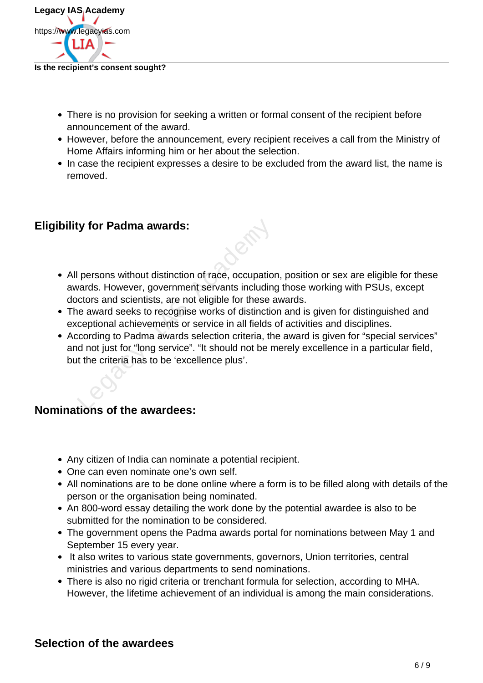

#### **Is the recipient's consent sought?**

- There is no provision for seeking a written or formal consent of the recipient before announcement of the award.
- However, before the announcement, every recipient receives a call from the Ministry of Home Affairs informing him or her about the selection.
- In case the recipient expresses a desire to be excluded from the award list, the name is removed.

#### **Eligibility for Padma awards:**

- All persons without distinction of race, occupation, position or sex are eligible for these awards. However, government servants including those working with PSUs, except doctors and scientists, are not eligible for these awards. ty for Padma awards:<br>
legacy of persons without distinction of race, occupation<br>
vards. However, government servants including<br>
cotors and scientists, are not eligible for these a<br>
lee award seeks to recognise works of dis
- The award seeks to recognise works of distinction and is given for distinguished and exceptional achievements or service in all fields of activities and disciplines.
- According to Padma awards selection criteria, the award is given for "special services" and not just for "long service". "It should not be merely excellence in a particular field, but the criteria has to be 'excellence plus'.

#### **Nominations of the awardees:**

- Any citizen of India can nominate a potential recipient.
- One can even nominate one's own self.
- All nominations are to be done online where a form is to be filled along with details of the person or the organisation being nominated.
- An 800-word essay detailing the work done by the potential awardee is also to be submitted for the nomination to be considered.
- The government opens the Padma awards portal for nominations between May 1 and September 15 every year.
- It also writes to various state governments, governors, Union territories, central ministries and various departments to send nominations.
- There is also no rigid criteria or trenchant formula for selection, according to MHA. However, the lifetime achievement of an individual is among the main considerations.

#### **Selection of the awardees**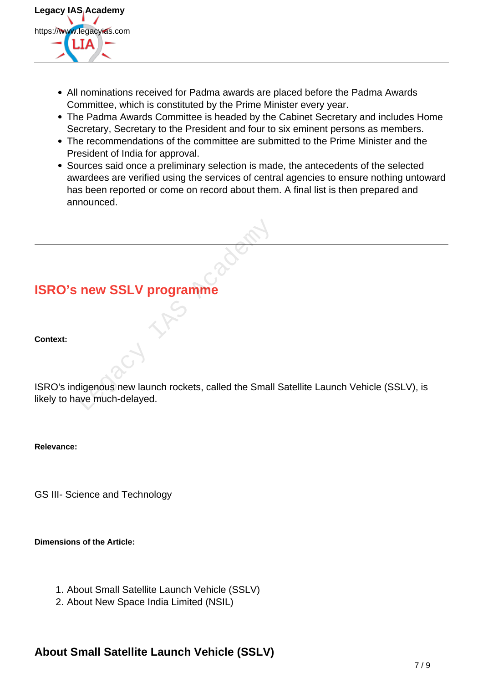

- All nominations received for Padma awards are placed before the Padma Awards Committee, which is constituted by the Prime Minister every year.
- The Padma Awards Committee is headed by the Cabinet Secretary and includes Home Secretary, Secretary to the President and four to six eminent persons as members.
- The recommendations of the committee are submitted to the Prime Minister and the President of India for approval.
- Sources said once a preliminary selection is made, the antecedents of the selected awardees are verified using the services of central agencies to ensure nothing untoward has been reported or come on record about them. A final list is then prepared and announced.

# **ISRO's new SSLV programme**

#### **Context:**

ISRO's indigenous new launch rockets, called the Small Satellite Launch Vehicle (SSLV), is likely to have much-delayed. New SSLV programme

**Relevance:**

GS III- Science and Technology

**Dimensions of the Article:**

- 1. About Small Satellite Launch Vehicle (SSLV)
- 2. About New Space India Limited (NSIL)

# **About Small Satellite Launch Vehicle (SSLV)**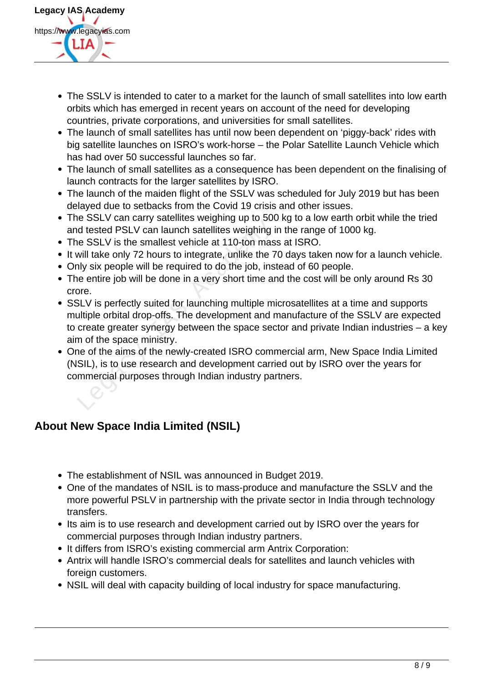

- The SSLV is intended to cater to a market for the launch of small satellites into low earth orbits which has emerged in recent years on account of the need for developing countries, private corporations, and universities for small satellites.
- The launch of small satellites has until now been dependent on 'piggy-back' rides with big satellite launches on ISRO's work-horse – the Polar Satellite Launch Vehicle which has had over 50 successful launches so far.
- The launch of small satellites as a consequence has been dependent on the finalising of launch contracts for the larger satellites by ISRO.
- The launch of the maiden flight of the SSLV was scheduled for July 2019 but has been delayed due to setbacks from the Covid 19 crisis and other issues.
- The SSLV can carry satellites weighing up to 500 kg to a low earth orbit while the tried and tested PSLV can launch satellites weighing in the range of 1000 kg.
- The SSLV is the smallest vehicle at 110-ton mass at ISRO.
- It will take only 72 hours to integrate, unlike the 70 days taken now for a launch vehicle.
- Only six people will be required to do the job, instead of 60 people.
- The entire job will be done in a very short time and the cost will be only around Rs 30 crore.
- SSLV is perfectly suited for launching multiple microsatellites at a time and supports multiple orbital drop-offs. The development and manufacture of the SSLV are expected to create greater synergy between the space sector and private Indian industries – a key aim of the space ministry. Legacy Controlling and the solution of state of SLV can launch satellites weighing in the SSLV is the smallest vehicle at 110-ton mas will take only 72 hours to integrate, unlike the 7 hly six people will be required to do
- One of the aims of the newly-created ISRO commercial arm, New Space India Limited (NSIL), is to use research and development carried out by ISRO over the years for commercial purposes through Indian industry partners.

# **About New Space India Limited (NSIL)**

- The establishment of NSIL was announced in Budget 2019.
- One of the mandates of NSIL is to mass-produce and manufacture the SSLV and the more powerful PSLV in partnership with the private sector in India through technology transfers.
- Its aim is to use research and development carried out by ISRO over the years for commercial purposes through Indian industry partners.
- It differs from ISRO's existing commercial arm Antrix Corporation:
- Antrix will handle ISRO's commercial deals for satellites and launch vehicles with foreign customers.
- NSIL will deal with capacity building of local industry for space manufacturing.